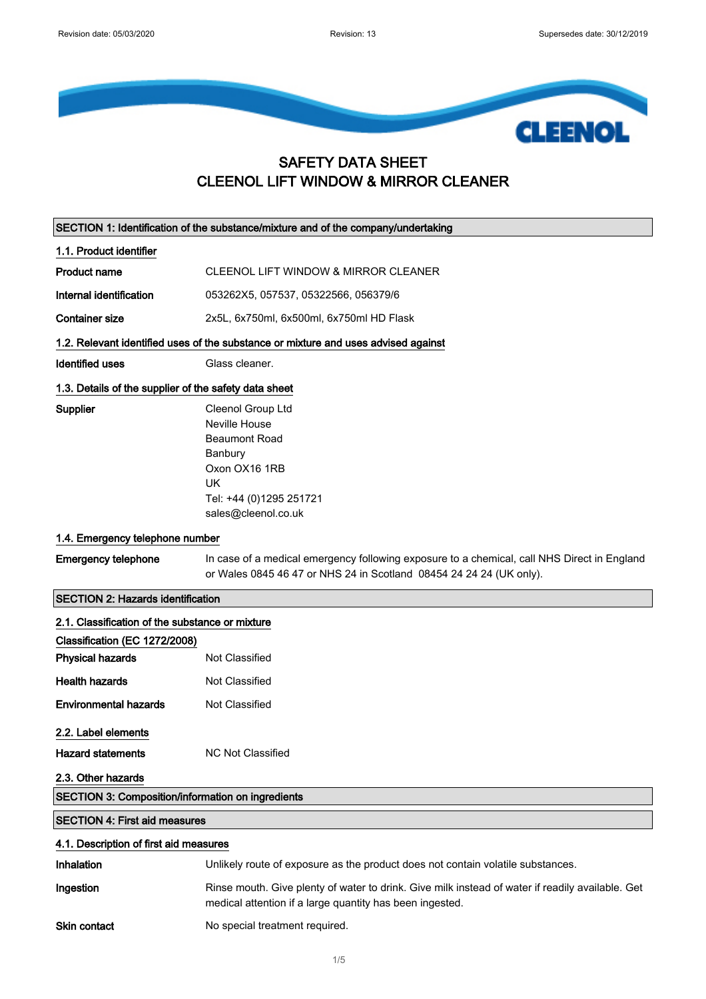

# SAFETY DATA SHEET CLEENOL LIFT WINDOW & MIRROR CLEANER

|                                                                       | SECTION 1: Identification of the substance/mixture and of the company/undertaking                                                                                  |  |
|-----------------------------------------------------------------------|--------------------------------------------------------------------------------------------------------------------------------------------------------------------|--|
| 1.1. Product identifier                                               |                                                                                                                                                                    |  |
| <b>Product name</b>                                                   | <b>CLEENOL LIFT WINDOW &amp; MIRROR CLEANER</b>                                                                                                                    |  |
| Internal identification                                               | 053262X5, 057537, 05322566, 056379/6                                                                                                                               |  |
| <b>Container size</b>                                                 | 2x5L, 6x750ml, 6x500ml, 6x750ml HD Flask                                                                                                                           |  |
|                                                                       | 1.2. Relevant identified uses of the substance or mixture and uses advised against                                                                                 |  |
| Identified uses                                                       | Glass cleaner.                                                                                                                                                     |  |
| 1.3. Details of the supplier of the safety data sheet                 |                                                                                                                                                                    |  |
| Supplier                                                              | Cleenol Group Ltd<br>Neville House<br><b>Beaumont Road</b><br>Banbury<br>Oxon OX16 1RB<br><b>UK</b><br>Tel: +44 (0)1295 251721<br>sales@cleenol.co.uk              |  |
| 1.4. Emergency telephone number                                       |                                                                                                                                                                    |  |
| <b>Emergency telephone</b>                                            | In case of a medical emergency following exposure to a chemical, call NHS Direct in England<br>or Wales 0845 46 47 or NHS 24 in Scotland 08454 24 24 24 (UK only). |  |
| <b>SECTION 2: Hazards identification</b>                              |                                                                                                                                                                    |  |
| 2.1. Classification of the substance or mixture                       |                                                                                                                                                                    |  |
| Classification (EC 1272/2008)                                         |                                                                                                                                                                    |  |
| <b>Physical hazards</b>                                               | Not Classified                                                                                                                                                     |  |
| <b>Health hazards</b>                                                 | Not Classified                                                                                                                                                     |  |
| <b>Environmental hazards</b>                                          | Not Classified                                                                                                                                                     |  |
| 2.2. Label elements<br><b>Hazard statements</b><br>2.3. Other hazards | <b>NC Not Classified</b>                                                                                                                                           |  |
| <b>SECTION 3: Composition/information on ingredients</b>              |                                                                                                                                                                    |  |
| <b>SECTION 4: First aid measures</b>                                  |                                                                                                                                                                    |  |
| 4.1. Description of first aid measures                                |                                                                                                                                                                    |  |
| Inhalation                                                            | Unlikely route of exposure as the product does not contain volatile substances.                                                                                    |  |
|                                                                       |                                                                                                                                                                    |  |
| Ingestion                                                             | Rinse mouth. Give plenty of water to drink. Give milk instead of water if readily available. Get<br>medical attention if a large quantity has been ingested.       |  |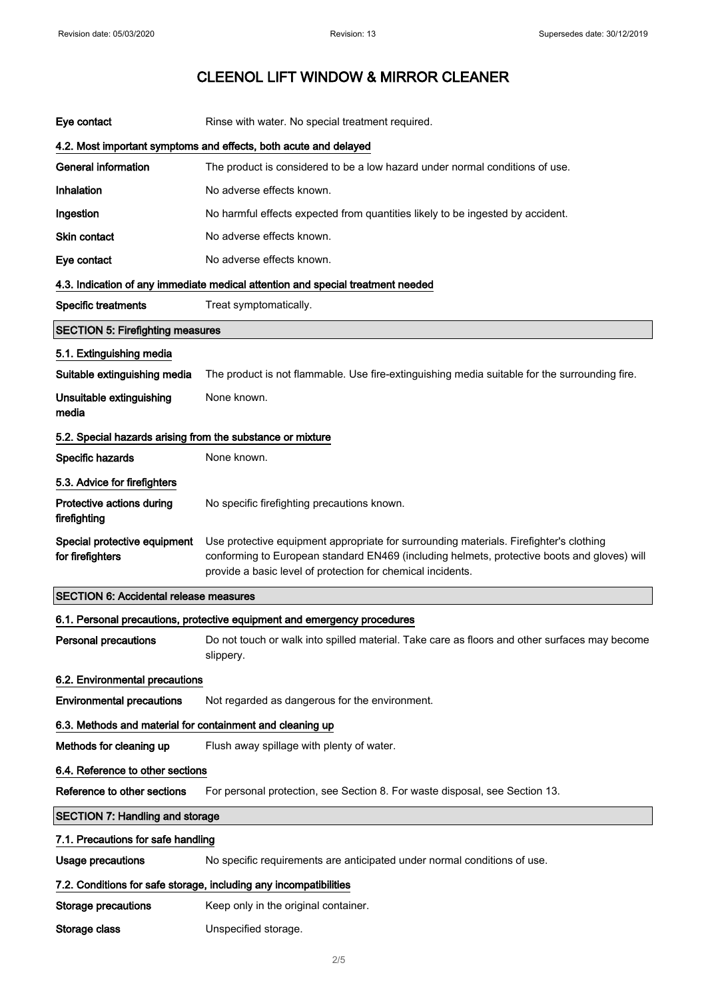| Eye contact                                                | Rinse with water. No special treatment required.                                                                                                                                                                                                     |  |
|------------------------------------------------------------|------------------------------------------------------------------------------------------------------------------------------------------------------------------------------------------------------------------------------------------------------|--|
|                                                            | 4.2. Most important symptoms and effects, both acute and delayed                                                                                                                                                                                     |  |
| <b>General information</b>                                 | The product is considered to be a low hazard under normal conditions of use.                                                                                                                                                                         |  |
| Inhalation                                                 | No adverse effects known.                                                                                                                                                                                                                            |  |
| Ingestion                                                  | No harmful effects expected from quantities likely to be ingested by accident.                                                                                                                                                                       |  |
| Skin contact                                               | No adverse effects known.                                                                                                                                                                                                                            |  |
| Eye contact                                                | No adverse effects known.                                                                                                                                                                                                                            |  |
|                                                            | 4.3. Indication of any immediate medical attention and special treatment needed                                                                                                                                                                      |  |
| <b>Specific treatments</b>                                 | Treat symptomatically.                                                                                                                                                                                                                               |  |
| <b>SECTION 5: Firefighting measures</b>                    |                                                                                                                                                                                                                                                      |  |
| 5.1. Extinguishing media                                   |                                                                                                                                                                                                                                                      |  |
| Suitable extinguishing media                               | The product is not flammable. Use fire-extinguishing media suitable for the surrounding fire.                                                                                                                                                        |  |
| Unsuitable extinguishing<br>media                          | None known.                                                                                                                                                                                                                                          |  |
| 5.2. Special hazards arising from the substance or mixture |                                                                                                                                                                                                                                                      |  |
| Specific hazards                                           | None known.                                                                                                                                                                                                                                          |  |
| 5.3. Advice for firefighters                               |                                                                                                                                                                                                                                                      |  |
| Protective actions during<br>firefighting                  | No specific firefighting precautions known.                                                                                                                                                                                                          |  |
| Special protective equipment<br>for firefighters           | Use protective equipment appropriate for surrounding materials. Firefighter's clothing<br>conforming to European standard EN469 (including helmets, protective boots and gloves) will<br>provide a basic level of protection for chemical incidents. |  |
| <b>SECTION 6: Accidental release measures</b>              |                                                                                                                                                                                                                                                      |  |
|                                                            | 6.1. Personal precautions, protective equipment and emergency procedures                                                                                                                                                                             |  |
| <b>Personal precautions</b>                                | Do not touch or walk into spilled material. Take care as floors and other surfaces may become<br>slippery.                                                                                                                                           |  |
| 6.2. Environmental precautions                             |                                                                                                                                                                                                                                                      |  |
|                                                            |                                                                                                                                                                                                                                                      |  |
| <b>Environmental precautions</b>                           | Not regarded as dangerous for the environment.                                                                                                                                                                                                       |  |
| 6.3. Methods and material for containment and cleaning up  |                                                                                                                                                                                                                                                      |  |
| Methods for cleaning up                                    | Flush away spillage with plenty of water.                                                                                                                                                                                                            |  |
| 6.4. Reference to other sections                           |                                                                                                                                                                                                                                                      |  |
| Reference to other sections                                | For personal protection, see Section 8. For waste disposal, see Section 13.                                                                                                                                                                          |  |
| <b>SECTION 7: Handling and storage</b>                     |                                                                                                                                                                                                                                                      |  |
| 7.1. Precautions for safe handling                         |                                                                                                                                                                                                                                                      |  |
| <b>Usage precautions</b>                                   | No specific requirements are anticipated under normal conditions of use.                                                                                                                                                                             |  |
|                                                            | 7.2. Conditions for safe storage, including any incompatibilities                                                                                                                                                                                    |  |
| <b>Storage precautions</b>                                 | Keep only in the original container.                                                                                                                                                                                                                 |  |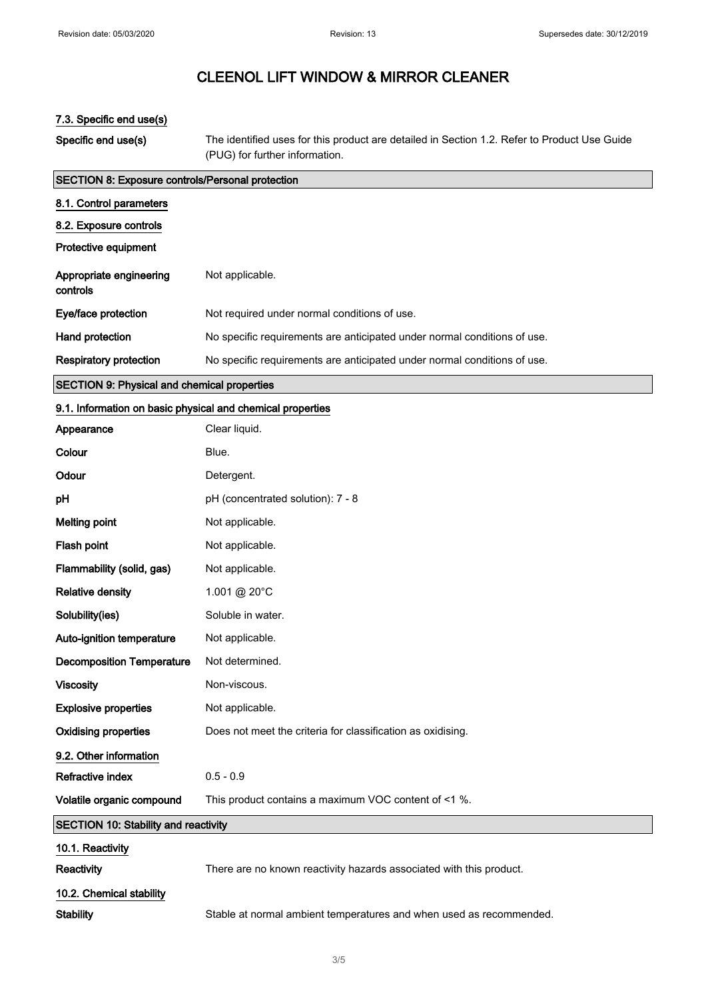## 7.3. Specific end use(s)

Specific end use(s) The identified uses for this product are detailed in Section 1.2. Refer to Product Use Guide (PUG) for further information.

| <b>SECTION 8: Exposure controls/Personal protection</b> |                                                                          |  |
|---------------------------------------------------------|--------------------------------------------------------------------------|--|
| 8.1. Control parameters                                 |                                                                          |  |
| 8.2. Exposure controls                                  |                                                                          |  |
| <b>Protective equipment</b>                             |                                                                          |  |
| Appropriate engineering<br>controls                     | Not applicable.                                                          |  |
| Eye/face protection                                     | Not required under normal conditions of use.                             |  |
| Hand protection                                         | No specific requirements are anticipated under normal conditions of use. |  |
| <b>Respiratory protection</b>                           | No specific requirements are anticipated under normal conditions of use. |  |

## SECTION 9: Physical and chemical properties

## 9.1. Information on basic physical and chemical properties

| Appearance                           | Clear liquid.                                                       |  |
|--------------------------------------|---------------------------------------------------------------------|--|
| Colour                               | Blue.                                                               |  |
| Odour                                | Detergent.                                                          |  |
| pH                                   | pH (concentrated solution): 7 - 8                                   |  |
| <b>Melting point</b>                 | Not applicable.                                                     |  |
| Flash point                          | Not applicable.                                                     |  |
| Flammability (solid, gas)            | Not applicable.                                                     |  |
| <b>Relative density</b>              | 1.001 @ 20°C                                                        |  |
| Solubility(ies)                      | Soluble in water.                                                   |  |
| Auto-ignition temperature            | Not applicable.                                                     |  |
| <b>Decomposition Temperature</b>     | Not determined.                                                     |  |
| <b>Viscosity</b>                     | Non-viscous.                                                        |  |
| <b>Explosive properties</b>          | Not applicable.                                                     |  |
| <b>Oxidising properties</b>          | Does not meet the criteria for classification as oxidising.         |  |
| 9.2. Other information               |                                                                     |  |
| <b>Refractive index</b>              | $0.5 - 0.9$                                                         |  |
| Volatile organic compound            | This product contains a maximum VOC content of <1 %.                |  |
| SECTION 10: Stability and reactivity |                                                                     |  |
| 10.1. Reactivity                     |                                                                     |  |
| Reactivity                           | There are no known reactivity hazards associated with this product. |  |
| 10.2. Chemical stability             |                                                                     |  |
| <b>Stability</b>                     | Stable at normal ambient temperatures and when used as recommended. |  |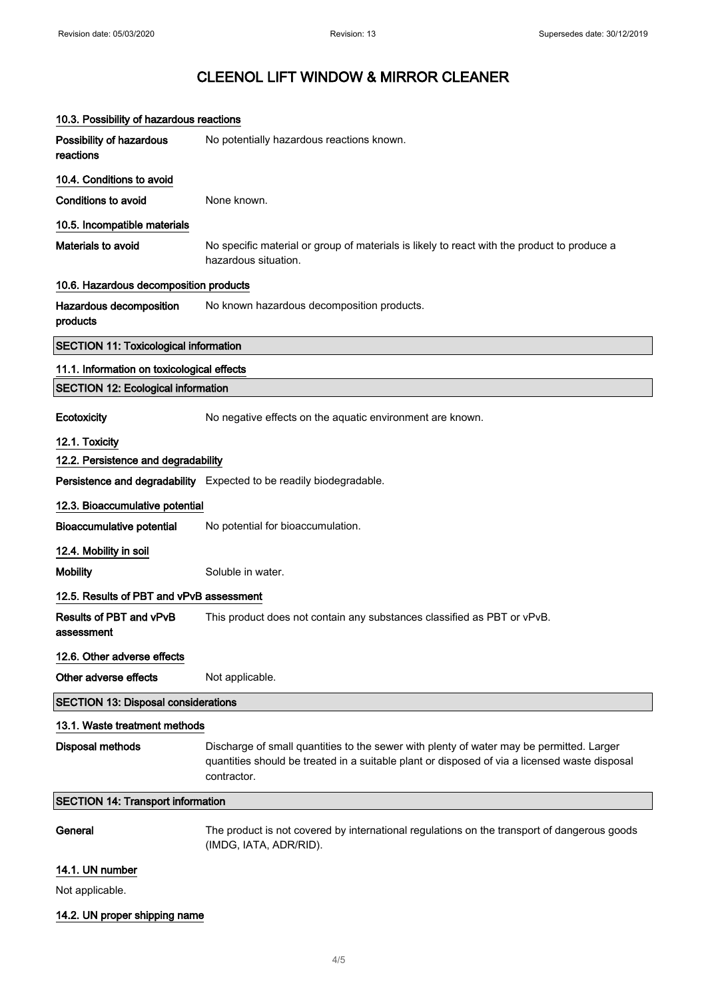| 10.3. Possibility of hazardous reactions     |                                                                                                                                                                                                          |  |
|----------------------------------------------|----------------------------------------------------------------------------------------------------------------------------------------------------------------------------------------------------------|--|
| Possibility of hazardous<br>reactions        | No potentially hazardous reactions known.                                                                                                                                                                |  |
| 10.4. Conditions to avoid                    |                                                                                                                                                                                                          |  |
| <b>Conditions to avoid</b>                   | None known.                                                                                                                                                                                              |  |
| 10.5. Incompatible materials                 |                                                                                                                                                                                                          |  |
| <b>Materials to avoid</b>                    | No specific material or group of materials is likely to react with the product to produce a<br>hazardous situation.                                                                                      |  |
| 10.6. Hazardous decomposition products       |                                                                                                                                                                                                          |  |
| Hazardous decomposition<br>products          | No known hazardous decomposition products.                                                                                                                                                               |  |
| <b>SECTION 11: Toxicological information</b> |                                                                                                                                                                                                          |  |
| 11.1. Information on toxicological effects   |                                                                                                                                                                                                          |  |
| <b>SECTION 12: Ecological information</b>    |                                                                                                                                                                                                          |  |
| Ecotoxicity                                  | No negative effects on the aquatic environment are known.                                                                                                                                                |  |
| 12.1. Toxicity                               |                                                                                                                                                                                                          |  |
| 12.2. Persistence and degradability          |                                                                                                                                                                                                          |  |
|                                              | Persistence and degradability Expected to be readily biodegradable.                                                                                                                                      |  |
| 12.3. Bioaccumulative potential              |                                                                                                                                                                                                          |  |
| <b>Bioaccumulative potential</b>             | No potential for bioaccumulation.                                                                                                                                                                        |  |
| 12.4. Mobility in soil                       |                                                                                                                                                                                                          |  |
| <b>Mobility</b>                              | Soluble in water.                                                                                                                                                                                        |  |
| 12.5. Results of PBT and vPvB assessment     |                                                                                                                                                                                                          |  |
| <b>Results of PBT and vPvB</b><br>assessment | This product does not contain any substances classified as PBT or vPvB.                                                                                                                                  |  |
| 12.6. Other adverse effects                  |                                                                                                                                                                                                          |  |
| Other adverse effects                        | Not applicable.                                                                                                                                                                                          |  |
| <b>SECTION 13: Disposal considerations</b>   |                                                                                                                                                                                                          |  |
| 13.1. Waste treatment methods                |                                                                                                                                                                                                          |  |
| <b>Disposal methods</b>                      | Discharge of small quantities to the sewer with plenty of water may be permitted. Larger<br>quantities should be treated in a suitable plant or disposed of via a licensed waste disposal<br>contractor. |  |
| <b>SECTION 14: Transport information</b>     |                                                                                                                                                                                                          |  |
| General                                      | The product is not covered by international regulations on the transport of dangerous goods<br>(IMDG, IATA, ADR/RID).                                                                                    |  |
| 14.1. UN number                              |                                                                                                                                                                                                          |  |
| Not applicable.                              |                                                                                                                                                                                                          |  |

14.2. UN proper shipping name